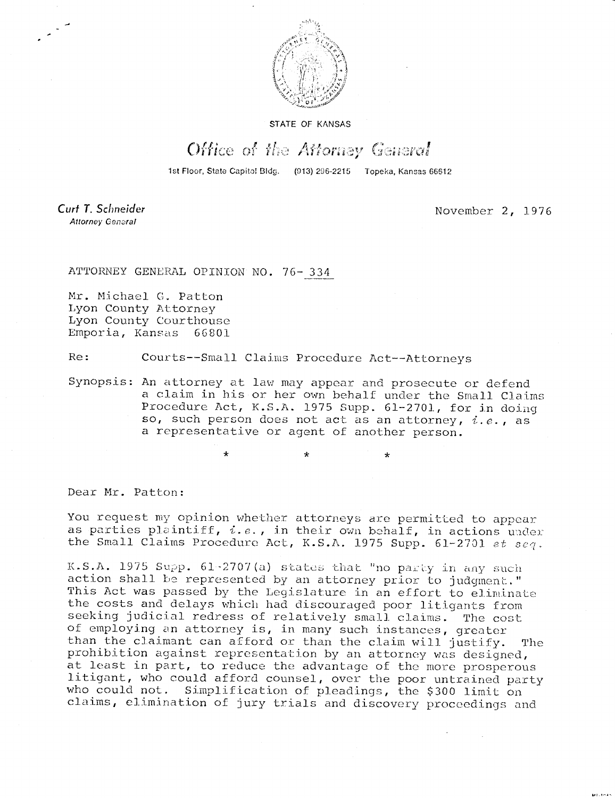

STATE OF KANSAS

## Office of the Attorney General

1st Floor, State Capitol Bldg. (913) 296-2215 Topeka, Kansas 66612

Curt T. Schneider **Attorney General** 

November 2, 1976

ATTORNEY GENERAL OPINION NO. 76- 334

Mr. Michael C. Patton Lyon County Attorney Lyon County Courthouse Emporia, Kansas 66801

Re: Courts--Small Claims Procedure Act--Attorneys

Synopsis: An attorney at law may appear and prosecute or defend a claim in his or her own behalf under the Small Claims Procedure Act, K.S.A. 1975 Supp. 61-2701, for in doing so, such person does not act as an attorney,  $i.e.,$  as a representative or agent of another person.

Dear Mr. Patton:

You request my opinion whether attorneys are permitted to appear as parties plaintiff,  $i.e.,$  in their own behalf, in actions under the Small Claims Procedure Act, K.S.A. 1975 Supp. 61-2701 et seq.

K.S.A. 1975 Supp. 61-2707(a) states that "no party in any such action shall be represented by an attorney prior to judgment." This Act was passed by the Legislature in an effort to eliminate the costs and delays which had discouraged poor litigants from seeking judicial redress of relatively small claims. The cost of employing an attorney is, in many such instances, greater than the claimant can afford or than the claim will justify. The prohibition against representation by an attorney was designed, at least in part, to reduce the advantage of the more prosperous litigant, who could afford counsel, over the poor untrained party who could not. Simplification of pleadings, the \$300 limit on claims, elimination of jury trials and discovery proceedings and